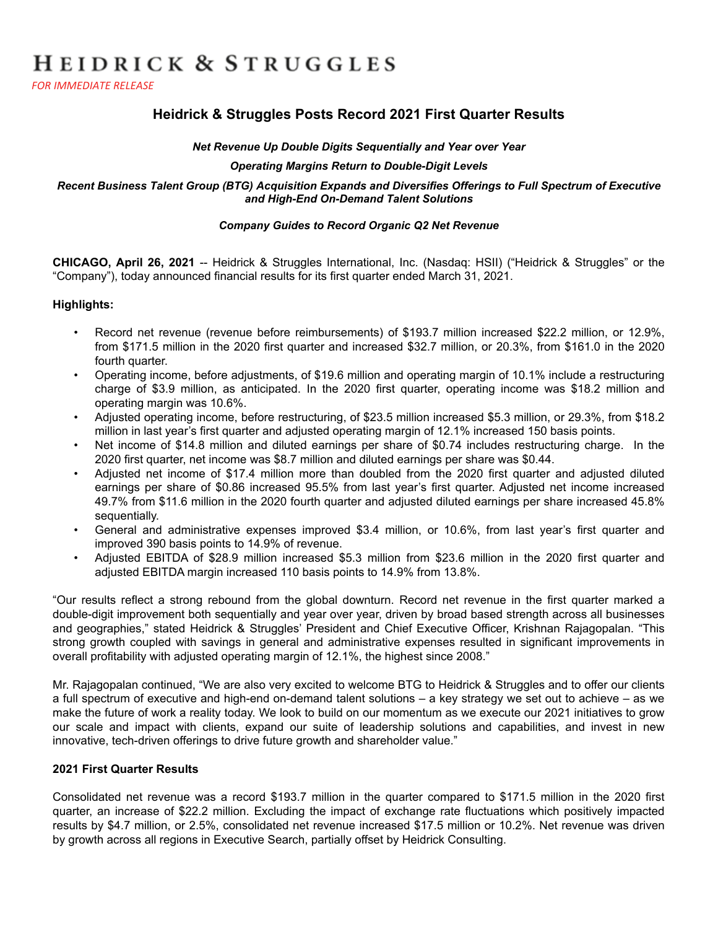# HEIDRICK & STRUGGLES

*FOR IMMEDIATE RELEASE* 

# **Heidrick & Struggles Posts Record 2021 First Quarter Results**

#### *Net Revenue Up Double Digits Sequentially and Year over Year*

#### *Operating Margins Return to Double-Digit Levels*

#### *Recent Business Talent Group (BTG) Acquisition Expands and Diversifies Offerings to Full Spectrum of Executive and High-End On-Demand Talent Solutions*

#### *Company Guides to Record Organic Q2 Net Revenue*

**CHICAGO, April 26, 2021** -- Heidrick & Struggles International, Inc. (Nasdaq: HSII) ("Heidrick & Struggles" or the "Company"), today announced financial results for its first quarter ended March 31, 2021.

#### **Highlights:**

- Record net revenue (revenue before reimbursements) of \$193.7 million increased \$22.2 million, or 12.9%, from \$171.5 million in the 2020 first quarter and increased \$32.7 million, or 20.3%, from \$161.0 in the 2020 fourth quarter.
- Operating income, before adjustments, of \$19.6 million and operating margin of 10.1% include a restructuring charge of \$3.9 million, as anticipated. In the 2020 first quarter, operating income was \$18.2 million and operating margin was 10.6%.
- Adjusted operating income, before restructuring, of \$23.5 million increased \$5.3 million, or 29.3%, from \$18.2 million in last year's first quarter and adjusted operating margin of 12.1% increased 150 basis points.
- Net income of \$14.8 million and diluted earnings per share of \$0.74 includes restructuring charge. In the 2020 first quarter, net income was \$8.7 million and diluted earnings per share was \$0.44.
- Adjusted net income of \$17.4 million more than doubled from the 2020 first quarter and adjusted diluted earnings per share of \$0.86 increased 95.5% from last year's first quarter. Adjusted net income increased 49.7% from \$11.6 million in the 2020 fourth quarter and adjusted diluted earnings per share increased 45.8% sequentially.
- General and administrative expenses improved \$3.4 million, or 10.6%, from last year's first quarter and improved 390 basis points to 14.9% of revenue.
- Adjusted EBITDA of \$28.9 million increased \$5.3 million from \$23.6 million in the 2020 first quarter and adjusted EBITDA margin increased 110 basis points to 14.9% from 13.8%.

"Our results reflect a strong rebound from the global downturn. Record net revenue in the first quarter marked a double-digit improvement both sequentially and year over year, driven by broad based strength across all businesses and geographies," stated Heidrick & Struggles' President and Chief Executive Officer, Krishnan Rajagopalan. "This strong growth coupled with savings in general and administrative expenses resulted in significant improvements in overall profitability with adjusted operating margin of 12.1%, the highest since 2008."

Mr. Rajagopalan continued, "We are also very excited to welcome BTG to Heidrick & Struggles and to offer our clients a full spectrum of executive and high-end on-demand talent solutions – a key strategy we set out to achieve – as we make the future of work a reality today. We look to build on our momentum as we execute our 2021 initiatives to grow our scale and impact with clients, expand our suite of leadership solutions and capabilities, and invest in new innovative, tech-driven offerings to drive future growth and shareholder value."

#### **2021 First Quarter Results**

Consolidated net revenue was a record \$193.7 million in the quarter compared to \$171.5 million in the 2020 first quarter, an increase of \$22.2 million. Excluding the impact of exchange rate fluctuations which positively impacted results by \$4.7 million, or 2.5%, consolidated net revenue increased \$17.5 million or 10.2%. Net revenue was driven by growth across all regions in Executive Search, partially offset by Heidrick Consulting.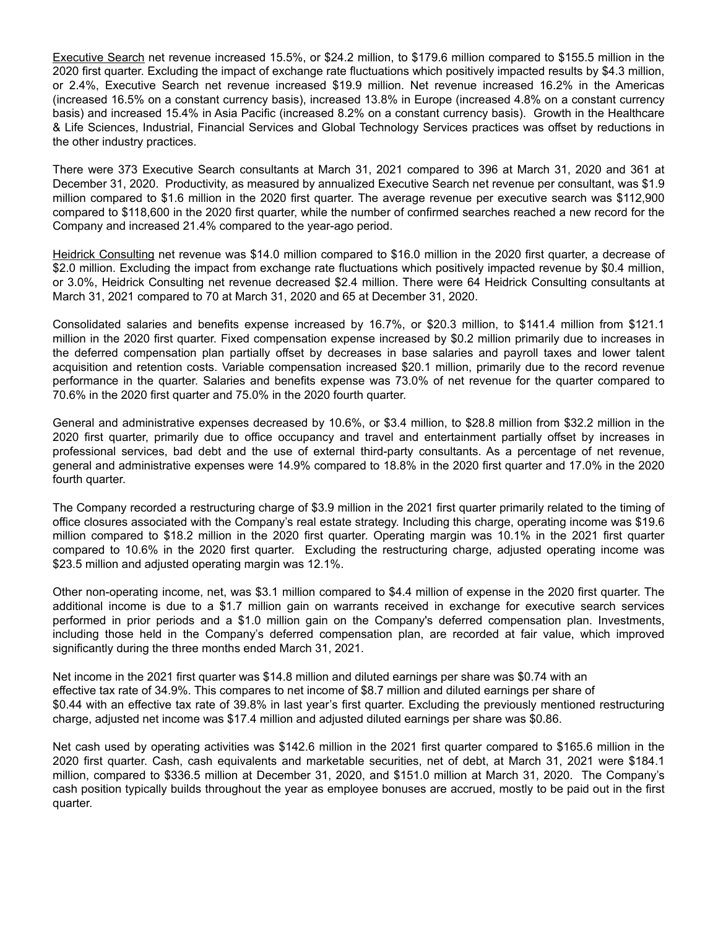Executive Search net revenue increased 15.5%, or \$24.2 million, to \$179.6 million compared to \$155.5 million in the 2020 first quarter. Excluding the impact of exchange rate fluctuations which positively impacted results by \$4.3 million, or 2.4%, Executive Search net revenue increased \$19.9 million. Net revenue increased 16.2% in the Americas (increased 16.5% on a constant currency basis), increased 13.8% in Europe (increased 4.8% on a constant currency basis) and increased 15.4% in Asia Pacific (increased 8.2% on a constant currency basis). Growth in the Healthcare & Life Sciences, Industrial, Financial Services and Global Technology Services practices was offset by reductions in the other industry practices.

There were 373 Executive Search consultants at March 31, 2021 compared to 396 at March 31, 2020 and 361 at December 31, 2020. Productivity, as measured by annualized Executive Search net revenue per consultant, was \$1.9 million compared to \$1.6 million in the 2020 first quarter. The average revenue per executive search was \$112,900 compared to \$118,600 in the 2020 first quarter, while the number of confirmed searches reached a new record for the Company and increased 21.4% compared to the year-ago period.

Heidrick Consulting net revenue was \$14.0 million compared to \$16.0 million in the 2020 first quarter, a decrease of \$2.0 million. Excluding the impact from exchange rate fluctuations which positively impacted revenue by \$0.4 million, or 3.0%, Heidrick Consulting net revenue decreased \$2.4 million. There were 64 Heidrick Consulting consultants at March 31, 2021 compared to 70 at March 31, 2020 and 65 at December 31, 2020.

Consolidated salaries and benefits expense increased by 16.7%, or \$20.3 million, to \$141.4 million from \$121.1 million in the 2020 first quarter. Fixed compensation expense increased by \$0.2 million primarily due to increases in the deferred compensation plan partially offset by decreases in base salaries and payroll taxes and lower talent acquisition and retention costs. Variable compensation increased \$20.1 million, primarily due to the record revenue performance in the quarter. Salaries and benefits expense was 73.0% of net revenue for the quarter compared to 70.6% in the 2020 first quarter and 75.0% in the 2020 fourth quarter.

General and administrative expenses decreased by 10.6%, or \$3.4 million, to \$28.8 million from \$32.2 million in the 2020 first quarter, primarily due to office occupancy and travel and entertainment partially offset by increases in professional services, bad debt and the use of external third-party consultants. As a percentage of net revenue, general and administrative expenses were 14.9% compared to 18.8% in the 2020 first quarter and 17.0% in the 2020 fourth quarter.

The Company recorded a restructuring charge of \$3.9 million in the 2021 first quarter primarily related to the timing of office closures associated with the Company's real estate strategy. Including this charge, operating income was \$19.6 million compared to \$18.2 million in the 2020 first quarter. Operating margin was 10.1% in the 2021 first quarter compared to 10.6% in the 2020 first quarter. Excluding the restructuring charge, adjusted operating income was \$23.5 million and adjusted operating margin was 12.1%.

Other non-operating income, net, was \$3.1 million compared to \$4.4 million of expense in the 2020 first quarter. The additional income is due to a \$1.7 million gain on warrants received in exchange for executive search services performed in prior periods and a \$1.0 million gain on the Company's deferred compensation plan. Investments, including those held in the Company's deferred compensation plan, are recorded at fair value, which improved significantly during the three months ended March 31, 2021.

Net income in the 2021 first quarter was \$14.8 million and diluted earnings per share was \$0.74 with an effective tax rate of 34.9%. This compares to net income of \$8.7 million and diluted earnings per share of \$0.44 with an effective tax rate of 39.8% in last year's first quarter. Excluding the previously mentioned restructuring charge, adjusted net income was \$17.4 million and adjusted diluted earnings per share was \$0.86.

Net cash used by operating activities was \$142.6 million in the 2021 first quarter compared to \$165.6 million in the 2020 first quarter. Cash, cash equivalents and marketable securities, net of debt, at March 31, 2021 were \$184.1 million, compared to \$336.5 million at December 31, 2020, and \$151.0 million at March 31, 2020. The Company's cash position typically builds throughout the year as employee bonuses are accrued, mostly to be paid out in the first quarter.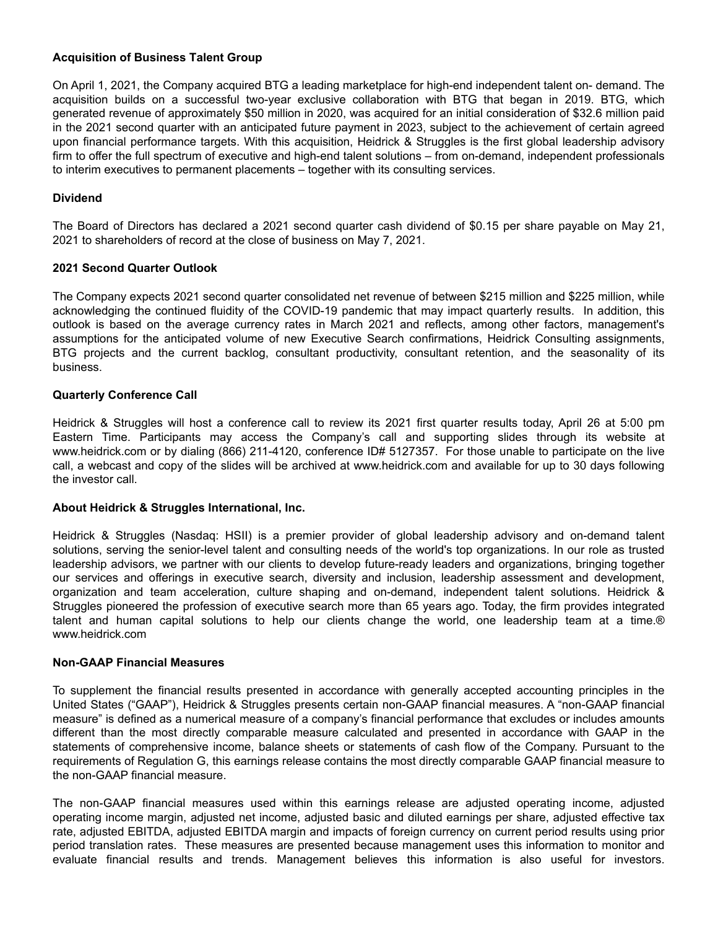#### **Acquisition of Business Talent Group**

On April 1, 2021, the Company acquired BTG a leading marketplace for high-end independent talent on- demand. The acquisition builds on a successful two-year exclusive collaboration with BTG that began in 2019. BTG, which generated revenue of approximately \$50 million in 2020, was acquired for an initial consideration of \$32.6 million paid in the 2021 second quarter with an anticipated future payment in 2023, subject to the achievement of certain agreed upon financial performance targets. With this acquisition, Heidrick & Struggles is the first global leadership advisory firm to offer the full spectrum of executive and high-end talent solutions – from on-demand, independent professionals to interim executives to permanent placements – together with its consulting services.

#### **Dividend**

The Board of Directors has declared a 2021 second quarter cash dividend of \$0.15 per share payable on May 21, 2021 to shareholders of record at the close of business on May 7, 2021.

#### **2021 Second Quarter Outlook**

The Company expects 2021 second quarter consolidated net revenue of between \$215 million and \$225 million, while acknowledging the continued fluidity of the COVID-19 pandemic that may impact quarterly results. In addition, this outlook is based on the average currency rates in March 2021 and reflects, among other factors, management's assumptions for the anticipated volume of new Executive Search confirmations, Heidrick Consulting assignments, BTG projects and the current backlog, consultant productivity, consultant retention, and the seasonality of its business.

#### **Quarterly Conference Call**

Heidrick & Struggles will host a conference call to review its 2021 first quarter results today, April 26 at 5:00 pm Eastern Time. Participants may access the Company's call and supporting slides through its website at www.heidrick.com or by dialing (866) 211-4120, conference ID# 5127357. For those unable to participate on the live call, a webcast and copy of the slides will be archived at www.heidrick.com and available for up to 30 days following the investor call.

#### **About Heidrick & Struggles International, Inc.**

Heidrick & Struggles (Nasdaq: HSII) is a premier provider of global leadership advisory and on-demand talent solutions, serving the senior-level talent and consulting needs of the world's top organizations. In our role as trusted leadership advisors, we partner with our clients to develop future-ready leaders and organizations, bringing together our services and offerings in executive search, diversity and inclusion, leadership assessment and development, organization and team acceleration, culture shaping and on-demand, independent talent solutions. Heidrick & Struggles pioneered the profession of executive search more than 65 years ago. Today, the firm provides integrated talent and human capital solutions to help our clients change the world, one leadership team at a time.® www.heidrick.com

#### **Non-GAAP Financial Measures**

To supplement the financial results presented in accordance with generally accepted accounting principles in the United States ("GAAP"), Heidrick & Struggles presents certain non-GAAP financial measures. A "non-GAAP financial measure" is defined as a numerical measure of a company's financial performance that excludes or includes amounts different than the most directly comparable measure calculated and presented in accordance with GAAP in the statements of comprehensive income, balance sheets or statements of cash flow of the Company. Pursuant to the requirements of Regulation G, this earnings release contains the most directly comparable GAAP financial measure to the non-GAAP financial measure.

The non-GAAP financial measures used within this earnings release are adjusted operating income, adjusted operating income margin, adjusted net income, adjusted basic and diluted earnings per share, adjusted effective tax rate, adjusted EBITDA, adjusted EBITDA margin and impacts of foreign currency on current period results using prior period translation rates. These measures are presented because management uses this information to monitor and evaluate financial results and trends. Management believes this information is also useful for investors.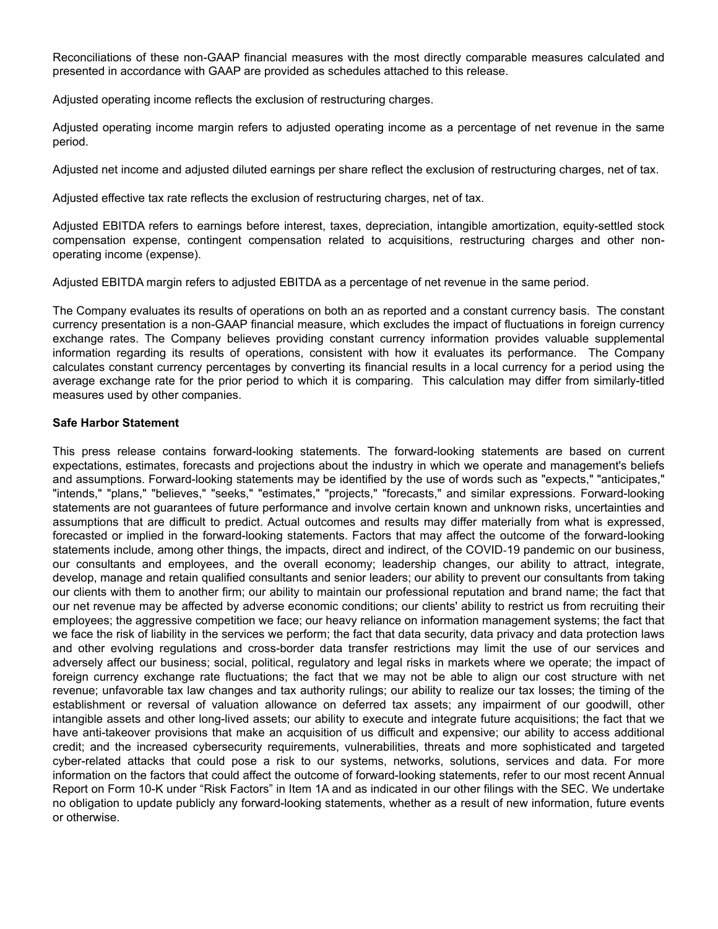Reconciliations of these non-GAAP financial measures with the most directly comparable measures calculated and presented in accordance with GAAP are provided as schedules attached to this release.

Adjusted operating income reflects the exclusion of restructuring charges.

Adjusted operating income margin refers to adjusted operating income as a percentage of net revenue in the same period.

Adjusted net income and adjusted diluted earnings per share reflect the exclusion of restructuring charges, net of tax.

Adjusted effective tax rate reflects the exclusion of restructuring charges, net of tax.

Adjusted EBITDA refers to earnings before interest, taxes, depreciation, intangible amortization, equity-settled stock compensation expense, contingent compensation related to acquisitions, restructuring charges and other nonoperating income (expense).

Adjusted EBITDA margin refers to adjusted EBITDA as a percentage of net revenue in the same period.

The Company evaluates its results of operations on both an as reported and a constant currency basis. The constant currency presentation is a non-GAAP financial measure, which excludes the impact of fluctuations in foreign currency exchange rates. The Company believes providing constant currency information provides valuable supplemental information regarding its results of operations, consistent with how it evaluates its performance. The Company calculates constant currency percentages by converting its financial results in a local currency for a period using the average exchange rate for the prior period to which it is comparing. This calculation may differ from similarly-titled measures used by other companies.

#### **Safe Harbor Statement**

This press release contains forward-looking statements. The forward-looking statements are based on current expectations, estimates, forecasts and projections about the industry in which we operate and management's beliefs and assumptions. Forward-looking statements may be identified by the use of words such as "expects," "anticipates," "intends," "plans," "believes," "seeks," "estimates," "projects," "forecasts," and similar expressions. Forward-looking statements are not guarantees of future performance and involve certain known and unknown risks, uncertainties and assumptions that are difficult to predict. Actual outcomes and results may differ materially from what is expressed, forecasted or implied in the forward-looking statements. Factors that may affect the outcome of the forward-looking statements include, among other things, the impacts, direct and indirect, of the COVID‑19 pandemic on our business, our consultants and employees, and the overall economy; leadership changes, our ability to attract, integrate, develop, manage and retain qualified consultants and senior leaders; our ability to prevent our consultants from taking our clients with them to another firm; our ability to maintain our professional reputation and brand name; the fact that our net revenue may be affected by adverse economic conditions; our clients' ability to restrict us from recruiting their employees; the aggressive competition we face; our heavy reliance on information management systems; the fact that we face the risk of liability in the services we perform; the fact that data security, data privacy and data protection laws and other evolving regulations and cross-border data transfer restrictions may limit the use of our services and adversely affect our business; social, political, regulatory and legal risks in markets where we operate; the impact of foreign currency exchange rate fluctuations; the fact that we may not be able to align our cost structure with net revenue; unfavorable tax law changes and tax authority rulings; our ability to realize our tax losses; the timing of the establishment or reversal of valuation allowance on deferred tax assets; any impairment of our goodwill, other intangible assets and other long-lived assets; our ability to execute and integrate future acquisitions; the fact that we have anti-takeover provisions that make an acquisition of us difficult and expensive; our ability to access additional credit; and the increased cybersecurity requirements, vulnerabilities, threats and more sophisticated and targeted cyber-related attacks that could pose a risk to our systems, networks, solutions, services and data. For more information on the factors that could affect the outcome of forward-looking statements, refer to our most recent Annual Report on Form 10-K under "Risk Factors" in Item 1A and as indicated in our other filings with the SEC. We undertake no obligation to update publicly any forward-looking statements, whether as a result of new information, future events or otherwise.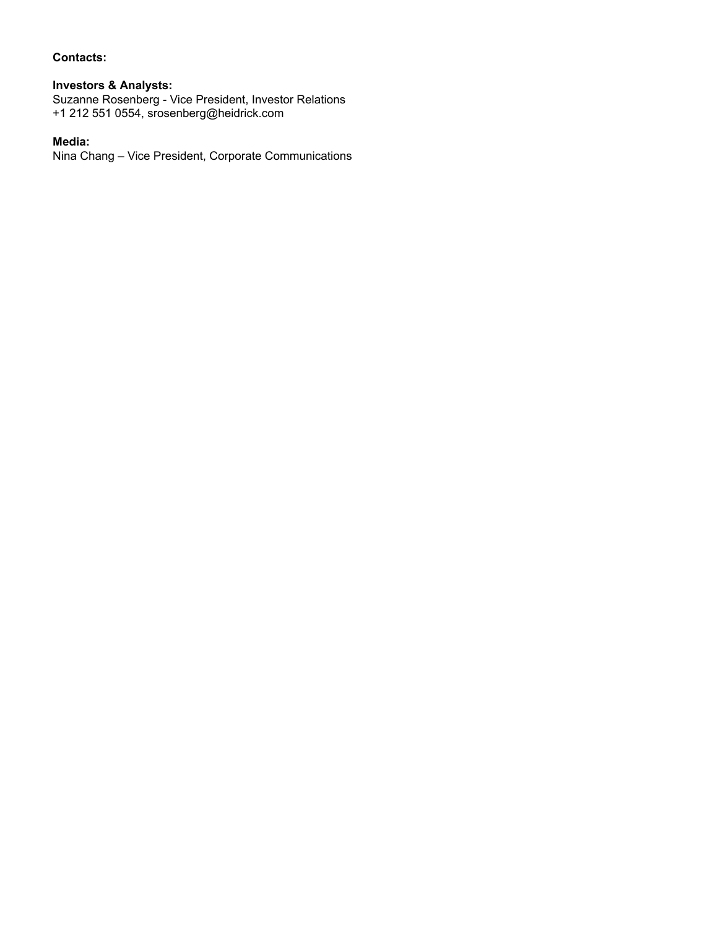#### **Contacts:**

# **Investors & Analysts:**

Suzanne Rosenberg - Vice President, Investor Relations +1 212 551 0554, srosenberg@heidrick.com

## **Media:**

Nina Chang – Vice President, Corporate Communications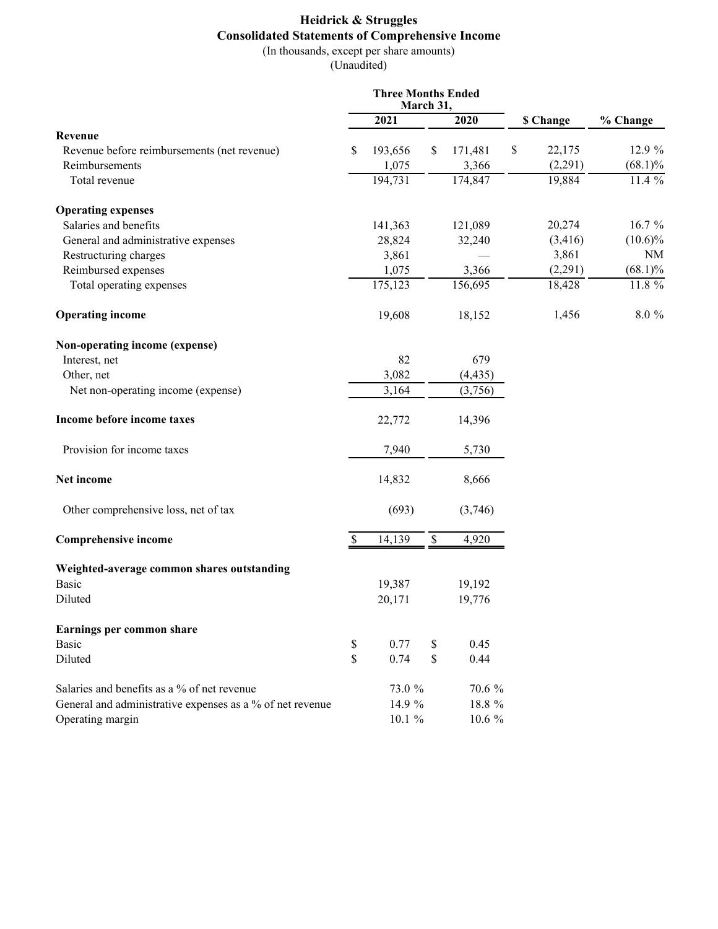# **Heidrick & Struggles Consolidated Statements of Comprehensive Income** (In thousands, except per share amounts)

(Unaudited)

|                                                           |    | <b>Three Months Ended</b><br>March 31, |             |          |              |            |
|-----------------------------------------------------------|----|----------------------------------------|-------------|----------|--------------|------------|
|                                                           |    | 2021                                   |             | 2020     | \$ Change    | % Change   |
| Revenue                                                   |    |                                        |             |          |              |            |
| Revenue before reimbursements (net revenue)               | S  | 193,656                                | \$          | 171,481  | \$<br>22,175 | 12.9 %     |
| Reimbursements                                            |    | 1,075                                  |             | 3,366    | (2,291)      | $(68.1)\%$ |
| Total revenue                                             |    | 194,731                                |             | 174,847  | 19,884       | $11.4\%$   |
| <b>Operating expenses</b>                                 |    |                                        |             |          |              |            |
| Salaries and benefits                                     |    | 141,363                                |             | 121,089  | 20,274       | 16.7 %     |
| General and administrative expenses                       |    | 28,824                                 |             | 32,240   | (3, 416)     | $(10.6)\%$ |
| Restructuring charges                                     |    | 3,861                                  |             |          | 3,861        | <b>NM</b>  |
| Reimbursed expenses                                       |    | 1,075                                  |             | 3,366    | (2,291)      | $(68.1)\%$ |
| Total operating expenses                                  |    | 175,123                                |             | 156,695  | 18,428       | $11.8\%$   |
| <b>Operating income</b>                                   |    | 19,608                                 |             | 18,152   | 1,456        | 8.0%       |
| Non-operating income (expense)                            |    |                                        |             |          |              |            |
| Interest, net                                             |    | 82                                     |             | 679      |              |            |
| Other, net                                                |    | 3,082                                  |             | (4, 435) |              |            |
| Net non-operating income (expense)                        |    | 3,164                                  |             | (3,756)  |              |            |
| Income before income taxes                                |    | 22,772                                 |             | 14,396   |              |            |
| Provision for income taxes                                |    | 7,940                                  |             | 5,730    |              |            |
| Net income                                                |    | 14,832                                 |             | 8,666    |              |            |
| Other comprehensive loss, net of tax                      |    | (693)                                  |             | (3,746)  |              |            |
| <b>Comprehensive income</b>                               |    | 14,139                                 | $\mathbb S$ | 4,920    |              |            |
| Weighted-average common shares outstanding                |    |                                        |             |          |              |            |
| Basic                                                     |    | 19,387                                 |             | 19,192   |              |            |
| Diluted                                                   |    | 20,171                                 |             | 19,776   |              |            |
| Earnings per common share                                 |    |                                        |             |          |              |            |
| <b>Basic</b>                                              | \$ | 0.77                                   | \$          | 0.45     |              |            |
| Diluted                                                   | \$ | 0.74                                   | \$          | 0.44     |              |            |
| Salaries and benefits as a % of net revenue               |    | 73.0 %                                 |             | 70.6 %   |              |            |
| General and administrative expenses as a % of net revenue |    | 14.9 %                                 |             | 18.8 %   |              |            |
| Operating margin                                          |    | $10.1 \%$                              |             | 10.6 %   |              |            |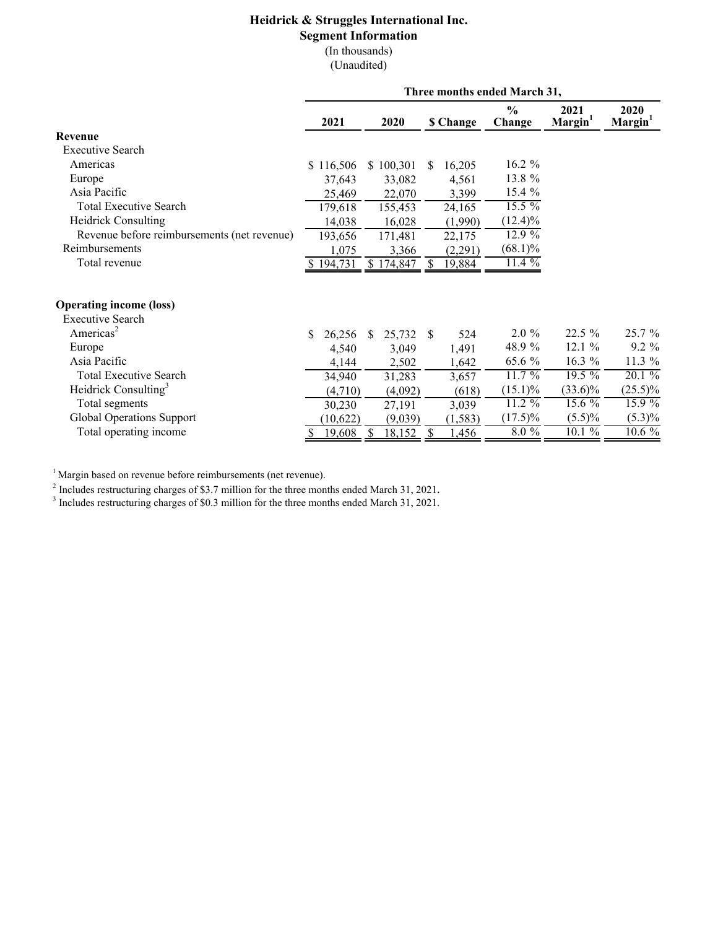# **Heidrick & Struggles International Inc.**

#### **Segment Information**

(In thousands)

(Unaudited)

| $\frac{0}{0}$<br>2021<br>2020<br>Margin <sup>1</sup><br>Margin <sup>1</sup><br>2021<br>2020<br><b>\$ Change</b><br>Change<br><b>Revenue</b><br><b>Executive Search</b><br>16.2 %<br>Americas<br>\$116,506<br>\$100,301<br>16,205<br>S<br>13.8 %<br>Europe<br>4,561<br>37,643<br>33,082<br>15.4 %<br>Asia Pacific<br>25,469<br>3,399<br>22,070<br>$15.5\%$<br><b>Total Executive Search</b><br>24,165<br>179,618<br>155,453<br><b>Heidrick Consulting</b><br>$(12.4)\%$<br>14,038<br>16,028<br>(1,990)<br>12.9%<br>Revenue before reimbursements (net revenue)<br>193,656<br>171,481<br>22,175<br>Reimbursements<br>$(68.1)\%$<br>1,075<br>3,366<br>(2,291)<br>11.4%<br>Total revenue<br>194,731<br>\$174,847<br>19,884<br>-S<br><b>Operating income (loss)</b><br><b>Executive Search</b><br>Americas <sup>2</sup><br>$22.5\%$<br>25.7 %<br>$2.0 \%$<br>26,256<br>25,732<br>524<br>\$<br><sup>S</sup><br>-S<br>48.9 %<br>$9.2\%$<br>12.1%<br>Europe<br>1,491<br>3,049<br>4,540<br>Asia Pacific<br>65.6 %<br>11.3 %<br>$16.3 \%$<br>1,642<br>4,144<br>2,502<br>$11.7\%$<br>$19.5\%$<br>$20.1\%$<br><b>Total Executive Search</b><br>34,940<br>3,657<br>31,283<br>Heidrick Consulting <sup>3</sup><br>$(25.5)\%$<br>$(33.6)\%$<br>$(15.1)\%$<br>(4,710)<br>(4,092)<br>(618)<br>$11.2\%$<br>$15.6\%$<br>$15.9\%$<br>Total segments<br>30,230<br>27,191<br>3,039<br>Global Operations Support<br>$(17.5)\%$<br>$(5.5)\%$<br>$(5.3)\%$<br>(10,622)<br>(9,039)<br>(1, 583)<br>Total operating income<br>$8.0\%$<br>$10.1\%$<br>$10.6\%$<br>19,608<br>18,152<br><sup>S</sup><br>1,456<br>S | Three months ended March 31, |  |  |  |  |  |  |
|-------------------------------------------------------------------------------------------------------------------------------------------------------------------------------------------------------------------------------------------------------------------------------------------------------------------------------------------------------------------------------------------------------------------------------------------------------------------------------------------------------------------------------------------------------------------------------------------------------------------------------------------------------------------------------------------------------------------------------------------------------------------------------------------------------------------------------------------------------------------------------------------------------------------------------------------------------------------------------------------------------------------------------------------------------------------------------------------------------------------------------------------------------------------------------------------------------------------------------------------------------------------------------------------------------------------------------------------------------------------------------------------------------------------------------------------------------------------------------------------------------------------------------------------------------------------------------------|------------------------------|--|--|--|--|--|--|
|                                                                                                                                                                                                                                                                                                                                                                                                                                                                                                                                                                                                                                                                                                                                                                                                                                                                                                                                                                                                                                                                                                                                                                                                                                                                                                                                                                                                                                                                                                                                                                                     |                              |  |  |  |  |  |  |
|                                                                                                                                                                                                                                                                                                                                                                                                                                                                                                                                                                                                                                                                                                                                                                                                                                                                                                                                                                                                                                                                                                                                                                                                                                                                                                                                                                                                                                                                                                                                                                                     |                              |  |  |  |  |  |  |
|                                                                                                                                                                                                                                                                                                                                                                                                                                                                                                                                                                                                                                                                                                                                                                                                                                                                                                                                                                                                                                                                                                                                                                                                                                                                                                                                                                                                                                                                                                                                                                                     |                              |  |  |  |  |  |  |
|                                                                                                                                                                                                                                                                                                                                                                                                                                                                                                                                                                                                                                                                                                                                                                                                                                                                                                                                                                                                                                                                                                                                                                                                                                                                                                                                                                                                                                                                                                                                                                                     |                              |  |  |  |  |  |  |
|                                                                                                                                                                                                                                                                                                                                                                                                                                                                                                                                                                                                                                                                                                                                                                                                                                                                                                                                                                                                                                                                                                                                                                                                                                                                                                                                                                                                                                                                                                                                                                                     |                              |  |  |  |  |  |  |
|                                                                                                                                                                                                                                                                                                                                                                                                                                                                                                                                                                                                                                                                                                                                                                                                                                                                                                                                                                                                                                                                                                                                                                                                                                                                                                                                                                                                                                                                                                                                                                                     |                              |  |  |  |  |  |  |
|                                                                                                                                                                                                                                                                                                                                                                                                                                                                                                                                                                                                                                                                                                                                                                                                                                                                                                                                                                                                                                                                                                                                                                                                                                                                                                                                                                                                                                                                                                                                                                                     |                              |  |  |  |  |  |  |
|                                                                                                                                                                                                                                                                                                                                                                                                                                                                                                                                                                                                                                                                                                                                                                                                                                                                                                                                                                                                                                                                                                                                                                                                                                                                                                                                                                                                                                                                                                                                                                                     |                              |  |  |  |  |  |  |
|                                                                                                                                                                                                                                                                                                                                                                                                                                                                                                                                                                                                                                                                                                                                                                                                                                                                                                                                                                                                                                                                                                                                                                                                                                                                                                                                                                                                                                                                                                                                                                                     |                              |  |  |  |  |  |  |
|                                                                                                                                                                                                                                                                                                                                                                                                                                                                                                                                                                                                                                                                                                                                                                                                                                                                                                                                                                                                                                                                                                                                                                                                                                                                                                                                                                                                                                                                                                                                                                                     |                              |  |  |  |  |  |  |
|                                                                                                                                                                                                                                                                                                                                                                                                                                                                                                                                                                                                                                                                                                                                                                                                                                                                                                                                                                                                                                                                                                                                                                                                                                                                                                                                                                                                                                                                                                                                                                                     |                              |  |  |  |  |  |  |
|                                                                                                                                                                                                                                                                                                                                                                                                                                                                                                                                                                                                                                                                                                                                                                                                                                                                                                                                                                                                                                                                                                                                                                                                                                                                                                                                                                                                                                                                                                                                                                                     |                              |  |  |  |  |  |  |
|                                                                                                                                                                                                                                                                                                                                                                                                                                                                                                                                                                                                                                                                                                                                                                                                                                                                                                                                                                                                                                                                                                                                                                                                                                                                                                                                                                                                                                                                                                                                                                                     |                              |  |  |  |  |  |  |
|                                                                                                                                                                                                                                                                                                                                                                                                                                                                                                                                                                                                                                                                                                                                                                                                                                                                                                                                                                                                                                                                                                                                                                                                                                                                                                                                                                                                                                                                                                                                                                                     |                              |  |  |  |  |  |  |
|                                                                                                                                                                                                                                                                                                                                                                                                                                                                                                                                                                                                                                                                                                                                                                                                                                                                                                                                                                                                                                                                                                                                                                                                                                                                                                                                                                                                                                                                                                                                                                                     |                              |  |  |  |  |  |  |
|                                                                                                                                                                                                                                                                                                                                                                                                                                                                                                                                                                                                                                                                                                                                                                                                                                                                                                                                                                                                                                                                                                                                                                                                                                                                                                                                                                                                                                                                                                                                                                                     |                              |  |  |  |  |  |  |
|                                                                                                                                                                                                                                                                                                                                                                                                                                                                                                                                                                                                                                                                                                                                                                                                                                                                                                                                                                                                                                                                                                                                                                                                                                                                                                                                                                                                                                                                                                                                                                                     |                              |  |  |  |  |  |  |
|                                                                                                                                                                                                                                                                                                                                                                                                                                                                                                                                                                                                                                                                                                                                                                                                                                                                                                                                                                                                                                                                                                                                                                                                                                                                                                                                                                                                                                                                                                                                                                                     |                              |  |  |  |  |  |  |
|                                                                                                                                                                                                                                                                                                                                                                                                                                                                                                                                                                                                                                                                                                                                                                                                                                                                                                                                                                                                                                                                                                                                                                                                                                                                                                                                                                                                                                                                                                                                                                                     |                              |  |  |  |  |  |  |
|                                                                                                                                                                                                                                                                                                                                                                                                                                                                                                                                                                                                                                                                                                                                                                                                                                                                                                                                                                                                                                                                                                                                                                                                                                                                                                                                                                                                                                                                                                                                                                                     |                              |  |  |  |  |  |  |
|                                                                                                                                                                                                                                                                                                                                                                                                                                                                                                                                                                                                                                                                                                                                                                                                                                                                                                                                                                                                                                                                                                                                                                                                                                                                                                                                                                                                                                                                                                                                                                                     |                              |  |  |  |  |  |  |
|                                                                                                                                                                                                                                                                                                                                                                                                                                                                                                                                                                                                                                                                                                                                                                                                                                                                                                                                                                                                                                                                                                                                                                                                                                                                                                                                                                                                                                                                                                                                                                                     |                              |  |  |  |  |  |  |

 $1$  Margin based on revenue before reimbursements (net revenue).

<sup>2</sup> Includes restructuring charges of \$3.7 million for the three months ended March 31, 2021.<br><sup>3</sup> Includes restructuring charges of \$0.3 million for the three months ended March 31, 2021.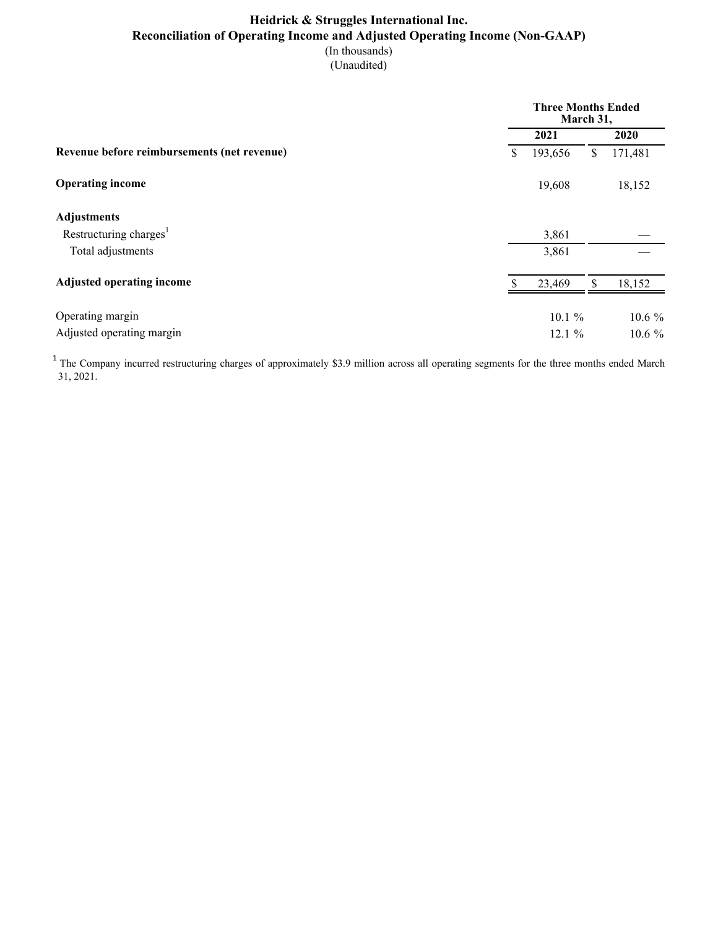# **Heidrick & Struggles International Inc. Reconciliation of Operating Income and Adjusted Operating Income (Non-GAAP)** (In thousands)

(Unaudited)

|                                             | <b>Three Months Ended</b><br>March 31, |    |         |  |  |  |
|---------------------------------------------|----------------------------------------|----|---------|--|--|--|
|                                             | 2021                                   |    | 2020    |  |  |  |
| Revenue before reimbursements (net revenue) | \$<br>193,656                          | \$ | 171,481 |  |  |  |
| <b>Operating income</b>                     | 19,608                                 |    | 18,152  |  |  |  |
| <b>Adjustments</b>                          |                                        |    |         |  |  |  |
| Restructuring charges <sup>1</sup>          | 3,861                                  |    |         |  |  |  |
| Total adjustments                           | 3,861                                  |    |         |  |  |  |
| <b>Adjusted operating income</b>            | 23,469                                 |    | 18,152  |  |  |  |
| Operating margin                            | 10.1%                                  |    | 10.6%   |  |  |  |
| Adjusted operating margin                   | 12.1 %                                 |    | 10.6 %  |  |  |  |

<sup>1</sup> The Company incurred restructuring charges of approximately \$3.9 million across all operating segments for the three months ended March 31, 2021.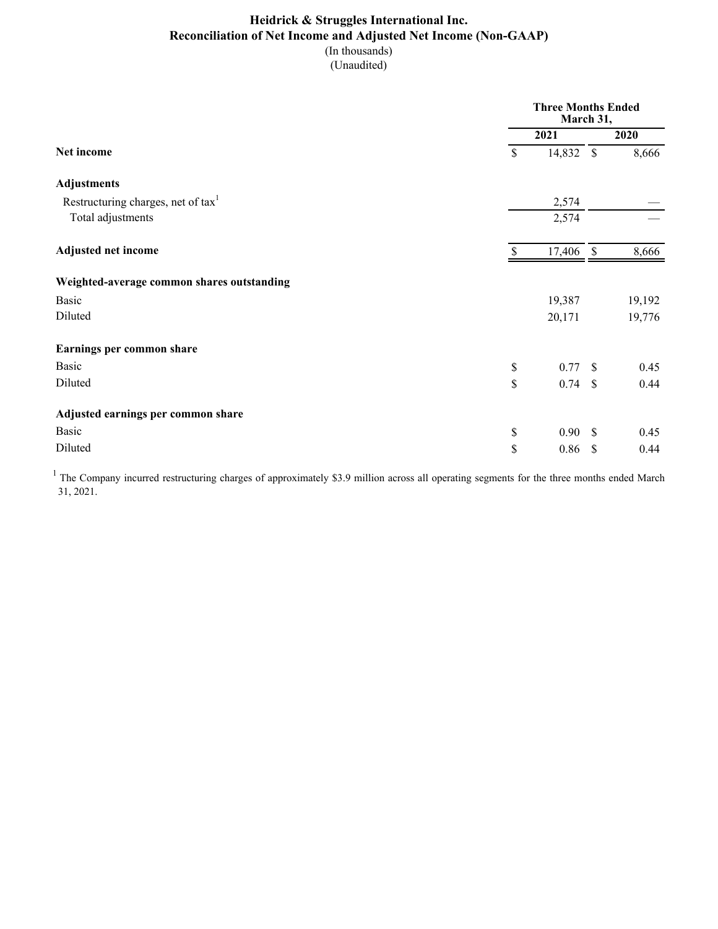# **Heidrick & Struggles International Inc. Reconciliation of Net Income and Adjusted Net Income (Non-GAAP)** (In thousands)

(Unaudited)

|                                                |                                                                       | <b>Three Months Ended</b><br>March 31, |  |        |  |
|------------------------------------------------|-----------------------------------------------------------------------|----------------------------------------|--|--------|--|
|                                                |                                                                       | 2021                                   |  | 2020   |  |
| Net income                                     | \$                                                                    | 14,832 \$                              |  | 8,666  |  |
| <b>Adjustments</b>                             |                                                                       |                                        |  |        |  |
| Restructuring charges, net of tax <sup>1</sup> |                                                                       | 2,574                                  |  |        |  |
| Total adjustments                              |                                                                       | 2,574                                  |  |        |  |
| <b>Adjusted net income</b>                     | \$                                                                    | 17,406 \$                              |  | 8,666  |  |
| Weighted-average common shares outstanding     |                                                                       |                                        |  |        |  |
| <b>Basic</b>                                   |                                                                       | 19,387                                 |  | 19,192 |  |
| Diluted                                        |                                                                       | 20,171                                 |  | 19,776 |  |
| Earnings per common share                      |                                                                       |                                        |  |        |  |
| Basic                                          | $\mathbb{S}% _{t}\left( t\right) \equiv\mathbb{S}_{t}\left( t\right)$ | 0.77S                                  |  | 0.45   |  |
| Diluted                                        | $\mathbb{S}$                                                          | $0.74$ \$                              |  | 0.44   |  |
| Adjusted earnings per common share             |                                                                       |                                        |  |        |  |
| <b>Basic</b>                                   | \$                                                                    | 0.90 S                                 |  | 0.45   |  |
| Diluted                                        | \$                                                                    | $0.86$ \$                              |  | 0.44   |  |

<sup>1</sup> The Company incurred restructuring charges of approximately \$3.9 million across all operating segments for the three months ended March 31, 2021.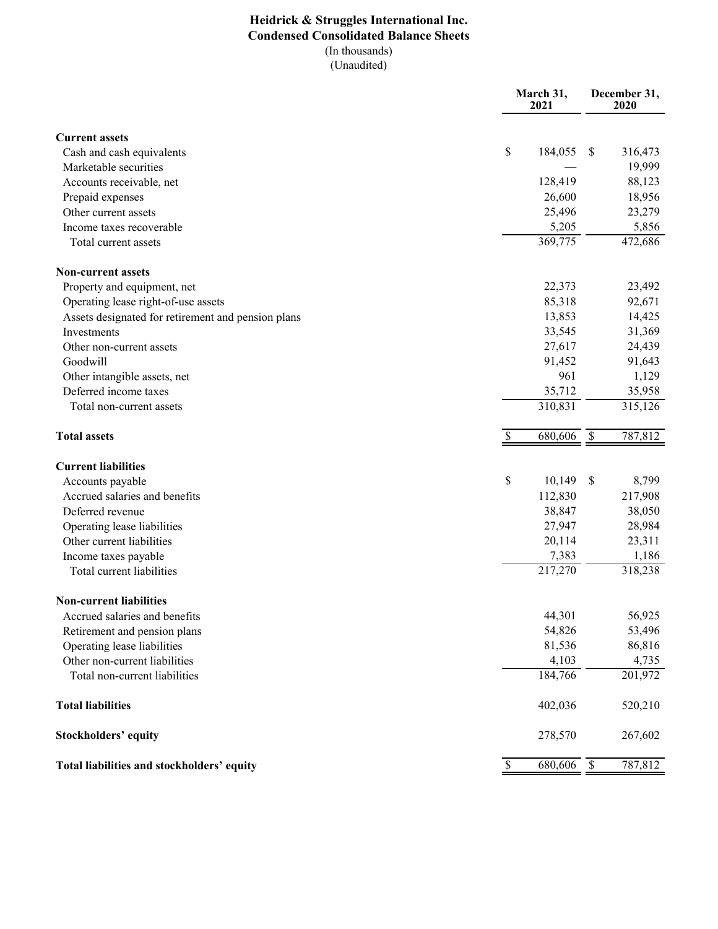# **Heidrick & Struggles International Inc. Condensed Consolidated Balance Sheets** (In thousands)

 $\overline{(Unaudited)}$ 

|                                                    | March 31,<br>2021 |         | December 31,<br>2020      |         |
|----------------------------------------------------|-------------------|---------|---------------------------|---------|
| <b>Current assets</b>                              |                   |         |                           |         |
| Cash and cash equivalents                          | $\mathbb{S}$      | 184,055 | <sup>\$</sup>             | 316,473 |
| Marketable securities                              |                   |         |                           | 19,999  |
| Accounts receivable, net                           |                   | 128,419 |                           | 88,123  |
| Prepaid expenses                                   |                   | 26,600  |                           | 18,956  |
| Other current assets                               |                   | 25,496  |                           | 23,279  |
| Income taxes recoverable                           |                   | 5,205   |                           | 5,856   |
| Total current assets                               |                   | 369,775 |                           | 472,686 |
| <b>Non-current assets</b>                          |                   |         |                           |         |
| Property and equipment, net                        |                   | 22,373  |                           | 23,492  |
| Operating lease right-of-use assets                |                   | 85,318  |                           | 92,671  |
| Assets designated for retirement and pension plans |                   | 13,853  |                           | 14,425  |
| Investments                                        |                   | 33,545  |                           | 31,369  |
| Other non-current assets                           |                   | 27,617  |                           | 24,439  |
| Goodwill                                           |                   | 91,452  |                           | 91,643  |
| Other intangible assets, net                       |                   | 961     |                           | 1,129   |
| Deferred income taxes                              |                   | 35,712  |                           | 35,958  |
| Total non-current assets                           |                   | 310,831 |                           | 315,126 |
| <b>Total assets</b>                                | \$                | 680,606 | \$                        | 787,812 |
| <b>Current liabilities</b>                         |                   |         |                           |         |
| Accounts payable                                   | \$                | 10,149  | \$                        | 8,799   |
| Accrued salaries and benefits                      |                   | 112,830 |                           | 217,908 |
| Deferred revenue                                   |                   | 38,847  |                           | 38,050  |
| Operating lease liabilities                        |                   | 27,947  |                           | 28,984  |
| Other current liabilities                          |                   | 20,114  |                           | 23,311  |
| Income taxes payable                               |                   | 7,383   |                           | 1,186   |
| Total current liabilities                          |                   | 217,270 |                           | 318,238 |
| <b>Non-current liabilities</b>                     |                   |         |                           |         |
| Accrued salaries and benefits                      |                   | 44,301  |                           | 56,925  |
| Retirement and pension plans                       |                   | 54,826  |                           | 53,496  |
| Operating lease liabilities                        |                   | 81,536  |                           | 86,816  |
| Other non-current liabilities                      |                   | 4,103   |                           | 4,735   |
| Total non-current liabilities                      |                   | 184,766 |                           | 201,972 |
| <b>Total liabilities</b>                           |                   | 402,036 |                           | 520,210 |
| <b>Stockholders' equity</b>                        |                   | 278,570 |                           | 267,602 |
| Total liabilities and stockholders' equity         | \$                | 680,606 | $\boldsymbol{\mathsf{S}}$ | 787,812 |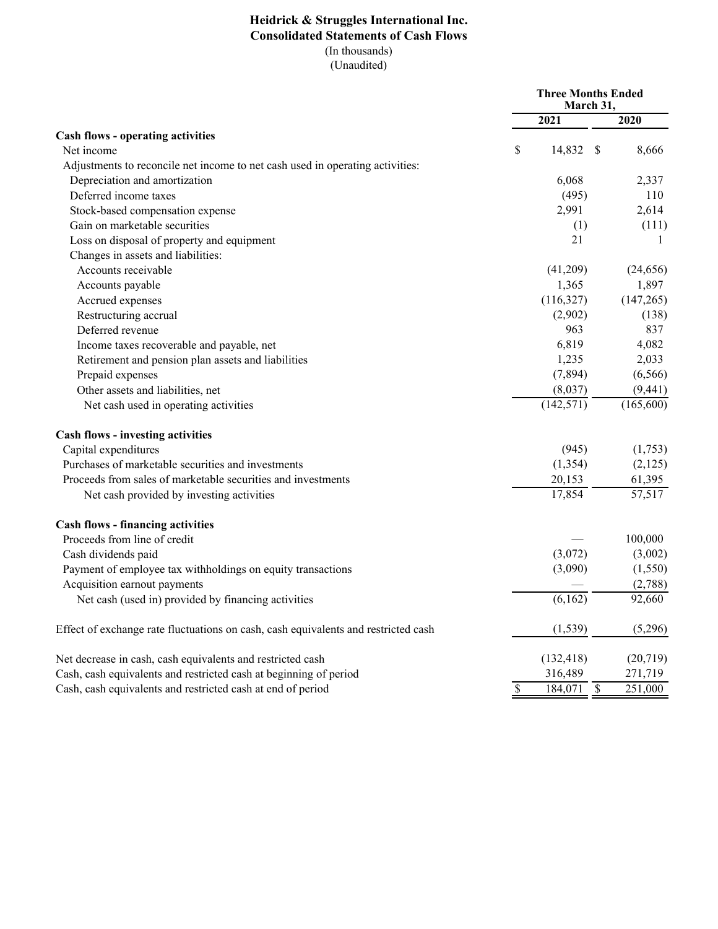## **Heidrick & Struggles International Inc. Consolidated Statements of Cash Flows** (In thousands)  $\overline{(Unaudited)}$

|                                                                                    | <b>Three Months Ended</b><br>March 31, |                         |      |              |
|------------------------------------------------------------------------------------|----------------------------------------|-------------------------|------|--------------|
|                                                                                    |                                        | 2021                    |      | 2020         |
| <b>Cash flows - operating activities</b>                                           |                                        |                         |      |              |
| Net income                                                                         | \$                                     | 14,832                  | - \$ | 8,666        |
| Adjustments to reconcile net income to net cash used in operating activities:      |                                        |                         |      |              |
| Depreciation and amortization                                                      |                                        | 6,068                   |      | 2,337        |
| Deferred income taxes                                                              |                                        | (495)                   |      | 110          |
| Stock-based compensation expense                                                   |                                        | 2,991                   |      | 2,614        |
| Gain on marketable securities                                                      |                                        | (1)                     |      | (111)        |
| Loss on disposal of property and equipment                                         |                                        | 21                      |      | $\mathbf{1}$ |
| Changes in assets and liabilities:                                                 |                                        |                         |      |              |
| Accounts receivable                                                                |                                        | (41,209)                |      | (24, 656)    |
| Accounts payable                                                                   |                                        | 1,365                   |      | 1,897        |
| Accrued expenses                                                                   |                                        | (116,327)               |      | (147, 265)   |
| Restructuring accrual                                                              |                                        | (2,902)                 |      | (138)        |
| Deferred revenue                                                                   |                                        | 963                     |      | 837          |
| Income taxes recoverable and payable, net                                          |                                        | 6,819                   |      | 4,082        |
| Retirement and pension plan assets and liabilities                                 |                                        | 1,235                   |      | 2,033        |
| Prepaid expenses                                                                   |                                        | (7,894)                 |      | (6, 566)     |
| Other assets and liabilities, net                                                  |                                        | (8,037)                 |      | (9, 441)     |
| Net cash used in operating activities                                              |                                        | (142, 571)              |      | (165, 600)   |
| <b>Cash flows - investing activities</b>                                           |                                        |                         |      |              |
| Capital expenditures                                                               |                                        | (945)                   |      | (1,753)      |
| Purchases of marketable securities and investments                                 |                                        | (1, 354)                |      | (2,125)      |
| Proceeds from sales of marketable securities and investments                       |                                        | 20,153                  |      | 61,395       |
| Net cash provided by investing activities                                          |                                        | 17,854                  |      | 57,517       |
| <b>Cash flows - financing activities</b>                                           |                                        |                         |      |              |
| Proceeds from line of credit                                                       |                                        |                         |      | 100,000      |
| Cash dividends paid                                                                |                                        | (3,072)                 |      | (3,002)      |
| Payment of employee tax withholdings on equity transactions                        |                                        | (3,090)                 |      | (1, 550)     |
| Acquisition earnout payments                                                       |                                        |                         |      | (2,788)      |
| Net cash (used in) provided by financing activities                                |                                        | (6,162)                 |      | 92,660       |
| Effect of exchange rate fluctuations on cash, cash equivalents and restricted cash |                                        | (1, 539)                |      | (5,296)      |
| Net decrease in cash, cash equivalents and restricted cash                         |                                        | (132, 418)              |      | (20, 719)    |
| Cash, cash equivalents and restricted cash at beginning of period                  |                                        | 316,489                 |      | 271,719      |
| Cash, cash equivalents and restricted cash at end of period                        | $\overline{\mathcal{S}}$               | $\overline{184,071}$ \$ |      | 251,000      |